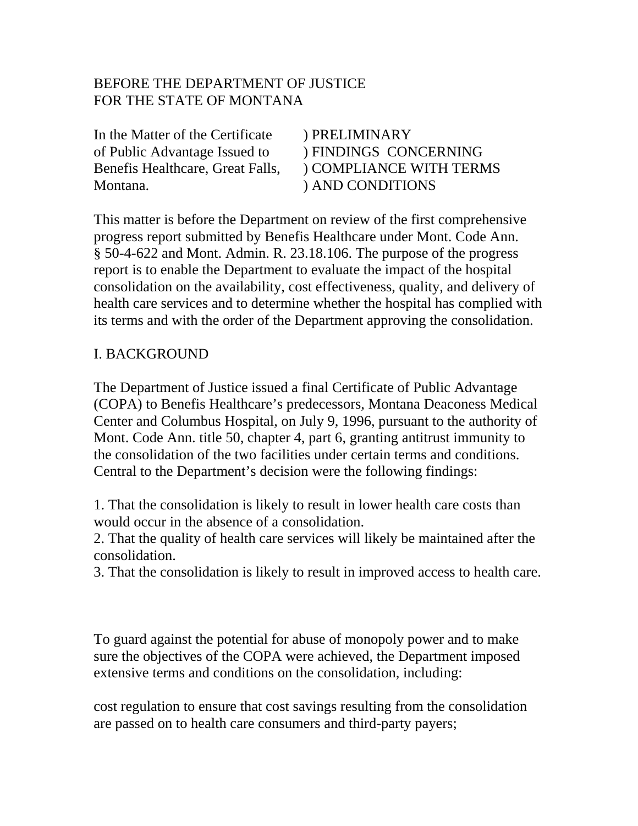# BEFORE THE DEPARTMENT OF JUSTICE FOR THE STATE OF MONTANA

In the Matter of the Certificate of Public Advantage Issued to Benefis Healthcare, Great Falls, Montana.

) PRELIMINARY ) FINDINGS CONCERNING ) COMPLIANCE WITH TERMS ) AND CONDITIONS

This matter is before the Department on review of the first comprehensive progress report submitted by Benefis Healthcare under Mont. Code Ann. § 50-4-622 and Mont. Admin. R. 23.18.106. The purpose of the progress report is to enable the Department to evaluate the impact of the hospital consolidation on the availability, cost effectiveness, quality, and delivery of health care services and to determine whether the hospital has complied with its terms and with the order of the Department approving the consolidation.

## I. BACKGROUND

The Department of Justice issued a final Certificate of Public Advantage (COPA) to Benefis Healthcare's predecessors, Montana Deaconess Medical Center and Columbus Hospital, on July 9, 1996, pursuant to the authority of Mont. Code Ann. title 50, chapter 4, part 6, granting antitrust immunity to the consolidation of the two facilities under certain terms and conditions. Central to the Department's decision were the following findings:

1. That the consolidation is likely to result in lower health care costs than would occur in the absence of a consolidation.

2. That the quality of health care services will likely be maintained after the consolidation.

3. That the consolidation is likely to result in improved access to health care.

To guard against the potential for abuse of monopoly power and to make sure the objectives of the COPA were achieved, the Department imposed extensive terms and conditions on the consolidation, including:

cost regulation to ensure that cost savings resulting from the consolidation are passed on to health care consumers and third-party payers;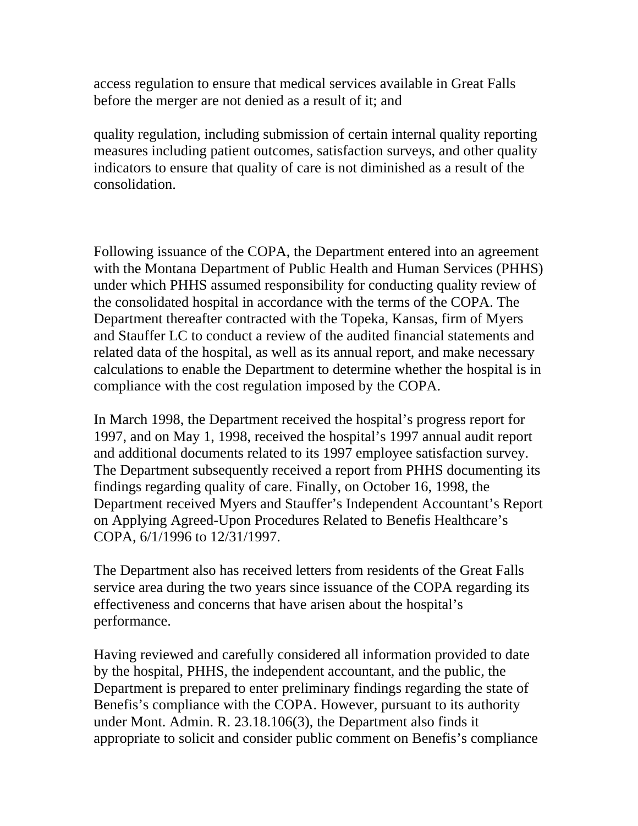access regulation to ensure that medical services available in Great Falls before the merger are not denied as a result of it; and

quality regulation, including submission of certain internal quality reporting measures including patient outcomes, satisfaction surveys, and other quality indicators to ensure that quality of care is not diminished as a result of the consolidation.

Following issuance of the COPA, the Department entered into an agreement with the Montana Department of Public Health and Human Services (PHHS) under which PHHS assumed responsibility for conducting quality review of the consolidated hospital in accordance with the terms of the COPA. The Department thereafter contracted with the Topeka, Kansas, firm of Myers and Stauffer LC to conduct a review of the audited financial statements and related data of the hospital, as well as its annual report, and make necessary calculations to enable the Department to determine whether the hospital is in compliance with the cost regulation imposed by the COPA.

In March 1998, the Department received the hospital's progress report for 1997, and on May 1, 1998, received the hospital's 1997 annual audit report and additional documents related to its 1997 employee satisfaction survey. The Department subsequently received a report from PHHS documenting its findings regarding quality of care. Finally, on October 16, 1998, the Department received Myers and Stauffer's Independent Accountant's Report on Applying Agreed-Upon Procedures Related to Benefis Healthcare's COPA, 6/1/1996 to 12/31/1997.

The Department also has received letters from residents of the Great Falls service area during the two years since issuance of the COPA regarding its effectiveness and concerns that have arisen about the hospital's performance.

Having reviewed and carefully considered all information provided to date by the hospital, PHHS, the independent accountant, and the public, the Department is prepared to enter preliminary findings regarding the state of Benefis's compliance with the COPA. However, pursuant to its authority under Mont. Admin. R. 23.18.106(3), the Department also finds it appropriate to solicit and consider public comment on Benefis's compliance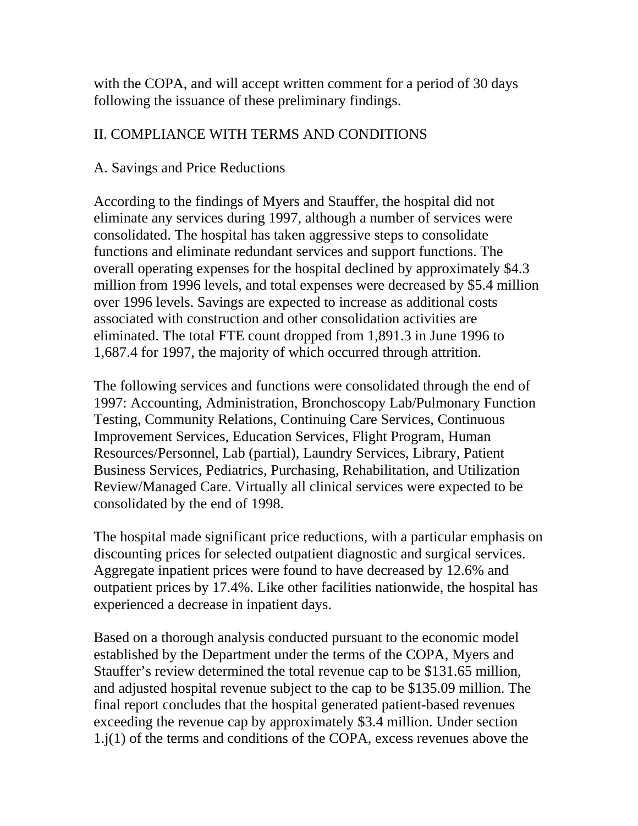with the COPA, and will accept written comment for a period of 30 days following the issuance of these preliminary findings.

# II. COMPLIANCE WITH TERMS AND CONDITIONS

# A. Savings and Price Reductions

According to the findings of Myers and Stauffer, the hospital did not eliminate any services during 1997, although a number of services were consolidated. The hospital has taken aggressive steps to consolidate functions and eliminate redundant services and support functions. The overall operating expenses for the hospital declined by approximately \$4.3 million from 1996 levels, and total expenses were decreased by \$5.4 million over 1996 levels. Savings are expected to increase as additional costs associated with construction and other consolidation activities are eliminated. The total FTE count dropped from 1,891.3 in June 1996 to 1,687.4 for 1997, the majority of which occurred through attrition.

The following services and functions were consolidated through the end of 1997: Accounting, Administration, Bronchoscopy Lab/Pulmonary Function Testing, Community Relations, Continuing Care Services, Continuous Improvement Services, Education Services, Flight Program, Human Resources/Personnel, Lab (partial), Laundry Services, Library, Patient Business Services, Pediatrics, Purchasing, Rehabilitation, and Utilization Review/Managed Care. Virtually all clinical services were expected to be consolidated by the end of 1998.

The hospital made significant price reductions, with a particular emphasis on discounting prices for selected outpatient diagnostic and surgical services. Aggregate inpatient prices were found to have decreased by 12.6% and outpatient prices by 17.4%. Like other facilities nationwide, the hospital has experienced a decrease in inpatient days.

Based on a thorough analysis conducted pursuant to the economic model established by the Department under the terms of the COPA, Myers and Stauffer's review determined the total revenue cap to be \$131.65 million, and adjusted hospital revenue subject to the cap to be \$135.09 million. The final report concludes that the hospital generated patient-based revenues exceeding the revenue cap by approximately \$3.4 million. Under section 1.j(1) of the terms and conditions of the COPA, excess revenues above the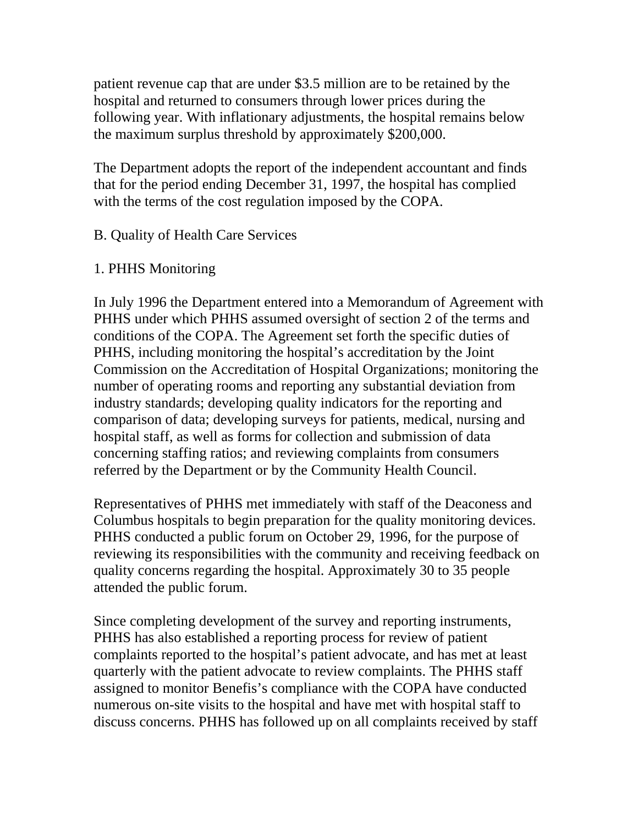patient revenue cap that are under \$3.5 million are to be retained by the hospital and returned to consumers through lower prices during the following year. With inflationary adjustments, the hospital remains below the maximum surplus threshold by approximately \$200,000.

The Department adopts the report of the independent accountant and finds that for the period ending December 31, 1997, the hospital has complied with the terms of the cost regulation imposed by the COPA.

## B. Quality of Health Care Services

### 1. PHHS Monitoring

In July 1996 the Department entered into a Memorandum of Agreement with PHHS under which PHHS assumed oversight of section 2 of the terms and conditions of the COPA. The Agreement set forth the specific duties of PHHS, including monitoring the hospital's accreditation by the Joint Commission on the Accreditation of Hospital Organizations; monitoring the number of operating rooms and reporting any substantial deviation from industry standards; developing quality indicators for the reporting and comparison of data; developing surveys for patients, medical, nursing and hospital staff, as well as forms for collection and submission of data concerning staffing ratios; and reviewing complaints from consumers referred by the Department or by the Community Health Council.

Representatives of PHHS met immediately with staff of the Deaconess and Columbus hospitals to begin preparation for the quality monitoring devices. PHHS conducted a public forum on October 29, 1996, for the purpose of reviewing its responsibilities with the community and receiving feedback on quality concerns regarding the hospital. Approximately 30 to 35 people attended the public forum.

Since completing development of the survey and reporting instruments, PHHS has also established a reporting process for review of patient complaints reported to the hospital's patient advocate, and has met at least quarterly with the patient advocate to review complaints. The PHHS staff assigned to monitor Benefis's compliance with the COPA have conducted numerous on-site visits to the hospital and have met with hospital staff to discuss concerns. PHHS has followed up on all complaints received by staff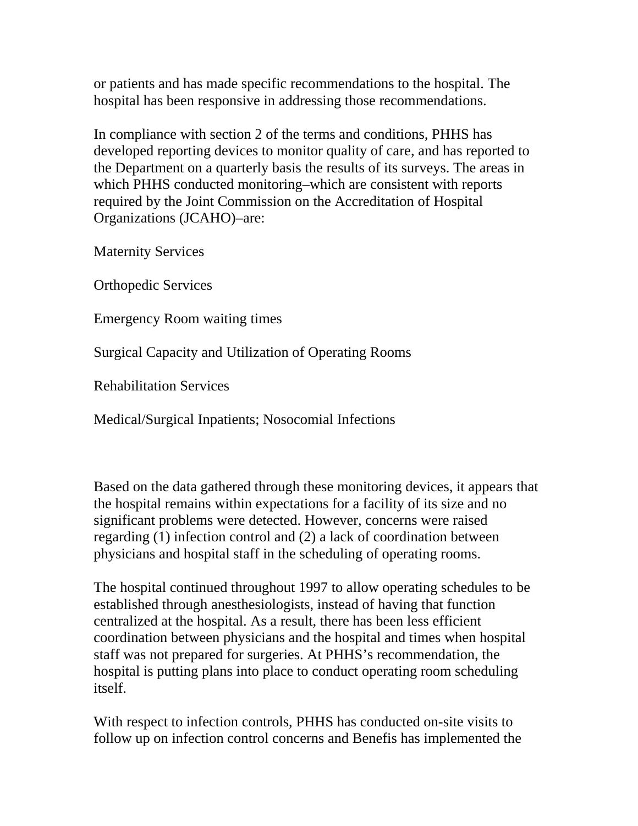or patients and has made specific recommendations to the hospital. The hospital has been responsive in addressing those recommendations.

In compliance with section 2 of the terms and conditions, PHHS has developed reporting devices to monitor quality of care, and has reported to the Department on a quarterly basis the results of its surveys. The areas in which PHHS conducted monitoring–which are consistent with reports required by the Joint Commission on the Accreditation of Hospital Organizations (JCAHO)–are:

Maternity Services

Orthopedic Services

Emergency Room waiting times

Surgical Capacity and Utilization of Operating Rooms

Rehabilitation Services

Medical/Surgical Inpatients; Nosocomial Infections

Based on the data gathered through these monitoring devices, it appears that the hospital remains within expectations for a facility of its size and no significant problems were detected. However, concerns were raised regarding (1) infection control and (2) a lack of coordination between physicians and hospital staff in the scheduling of operating rooms.

The hospital continued throughout 1997 to allow operating schedules to be established through anesthesiologists, instead of having that function centralized at the hospital. As a result, there has been less efficient coordination between physicians and the hospital and times when hospital staff was not prepared for surgeries. At PHHS's recommendation, the hospital is putting plans into place to conduct operating room scheduling itself.

With respect to infection controls, PHHS has conducted on-site visits to follow up on infection control concerns and Benefis has implemented the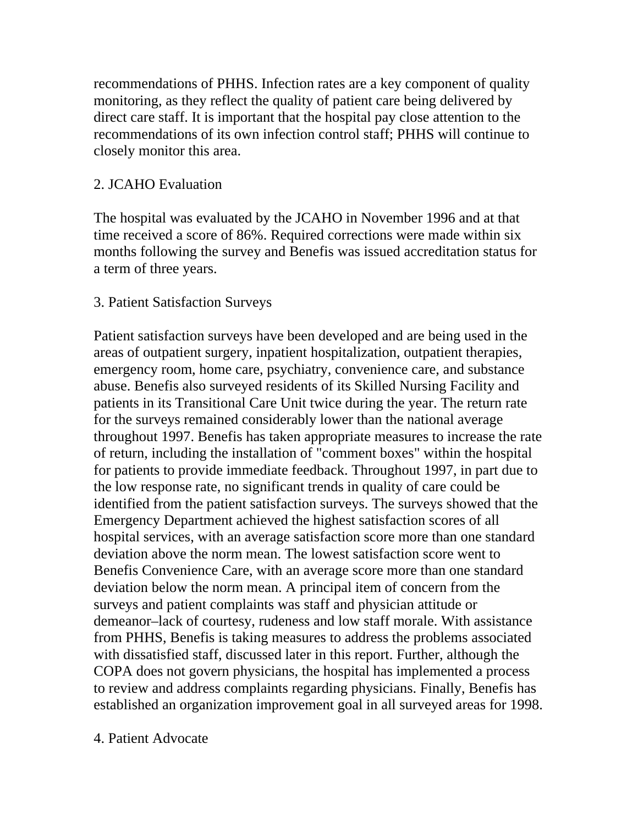recommendations of PHHS. Infection rates are a key component of quality monitoring, as they reflect the quality of patient care being delivered by direct care staff. It is important that the hospital pay close attention to the recommendations of its own infection control staff; PHHS will continue to closely monitor this area.

#### 2. JCAHO Evaluation

The hospital was evaluated by the JCAHO in November 1996 and at that time received a score of 86%. Required corrections were made within six months following the survey and Benefis was issued accreditation status for a term of three years.

#### 3. Patient Satisfaction Surveys

Patient satisfaction surveys have been developed and are being used in the areas of outpatient surgery, inpatient hospitalization, outpatient therapies, emergency room, home care, psychiatry, convenience care, and substance abuse. Benefis also surveyed residents of its Skilled Nursing Facility and patients in its Transitional Care Unit twice during the year. The return rate for the surveys remained considerably lower than the national average throughout 1997. Benefis has taken appropriate measures to increase the rate of return, including the installation of "comment boxes" within the hospital for patients to provide immediate feedback. Throughout 1997, in part due to the low response rate, no significant trends in quality of care could be identified from the patient satisfaction surveys. The surveys showed that the Emergency Department achieved the highest satisfaction scores of all hospital services, with an average satisfaction score more than one standard deviation above the norm mean. The lowest satisfaction score went to Benefis Convenience Care, with an average score more than one standard deviation below the norm mean. A principal item of concern from the surveys and patient complaints was staff and physician attitude or demeanor–lack of courtesy, rudeness and low staff morale. With assistance from PHHS, Benefis is taking measures to address the problems associated with dissatisfied staff, discussed later in this report. Further, although the COPA does not govern physicians, the hospital has implemented a process to review and address complaints regarding physicians. Finally, Benefis has established an organization improvement goal in all surveyed areas for 1998.

#### 4. Patient Advocate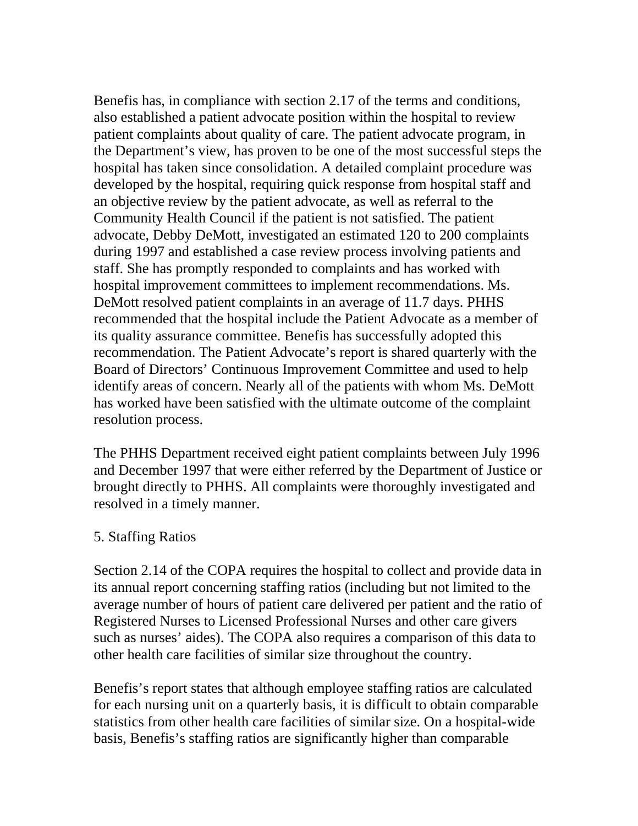Benefis has, in compliance with section 2.17 of the terms and conditions, also established a patient advocate position within the hospital to review patient complaints about quality of care. The patient advocate program, in the Department's view, has proven to be one of the most successful steps the hospital has taken since consolidation. A detailed complaint procedure was developed by the hospital, requiring quick response from hospital staff and an objective review by the patient advocate, as well as referral to the Community Health Council if the patient is not satisfied. The patient advocate, Debby DeMott, investigated an estimated 120 to 200 complaints during 1997 and established a case review process involving patients and staff. She has promptly responded to complaints and has worked with hospital improvement committees to implement recommendations. Ms. DeMott resolved patient complaints in an average of 11.7 days. PHHS recommended that the hospital include the Patient Advocate as a member of its quality assurance committee. Benefis has successfully adopted this recommendation. The Patient Advocate's report is shared quarterly with the Board of Directors' Continuous Improvement Committee and used to help identify areas of concern. Nearly all of the patients with whom Ms. DeMott has worked have been satisfied with the ultimate outcome of the complaint resolution process.

The PHHS Department received eight patient complaints between July 1996 and December 1997 that were either referred by the Department of Justice or brought directly to PHHS. All complaints were thoroughly investigated and resolved in a timely manner.

### 5. Staffing Ratios

Section 2.14 of the COPA requires the hospital to collect and provide data in its annual report concerning staffing ratios (including but not limited to the average number of hours of patient care delivered per patient and the ratio of Registered Nurses to Licensed Professional Nurses and other care givers such as nurses' aides). The COPA also requires a comparison of this data to other health care facilities of similar size throughout the country.

Benefis's report states that although employee staffing ratios are calculated for each nursing unit on a quarterly basis, it is difficult to obtain comparable statistics from other health care facilities of similar size. On a hospital-wide basis, Benefis's staffing ratios are significantly higher than comparable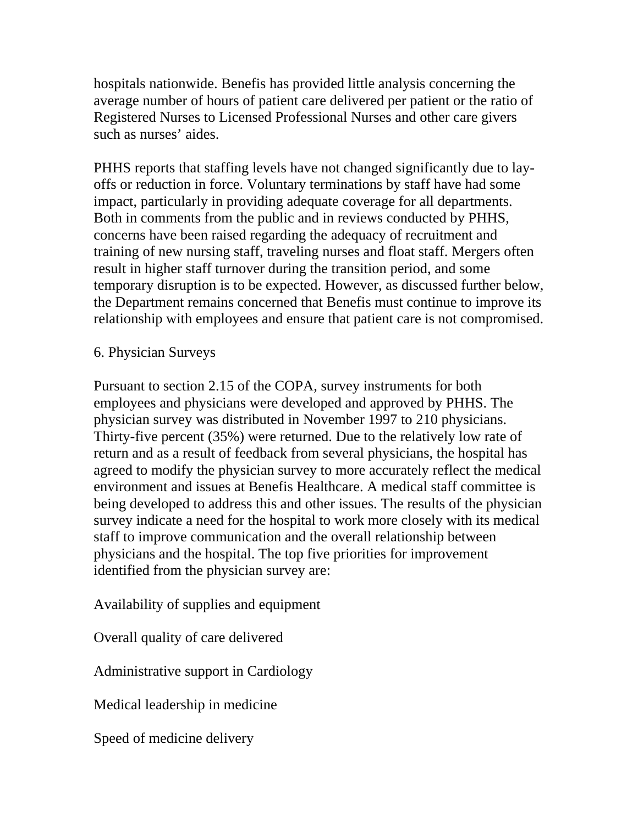hospitals nationwide. Benefis has provided little analysis concerning the average number of hours of patient care delivered per patient or the ratio of Registered Nurses to Licensed Professional Nurses and other care givers such as nurses' aides.

PHHS reports that staffing levels have not changed significantly due to layoffs or reduction in force. Voluntary terminations by staff have had some impact, particularly in providing adequate coverage for all departments. Both in comments from the public and in reviews conducted by PHHS, concerns have been raised regarding the adequacy of recruitment and training of new nursing staff, traveling nurses and float staff. Mergers often result in higher staff turnover during the transition period, and some temporary disruption is to be expected. However, as discussed further below, the Department remains concerned that Benefis must continue to improve its relationship with employees and ensure that patient care is not compromised.

### 6. Physician Surveys

Pursuant to section 2.15 of the COPA, survey instruments for both employees and physicians were developed and approved by PHHS. The physician survey was distributed in November 1997 to 210 physicians. Thirty-five percent (35%) were returned. Due to the relatively low rate of return and as a result of feedback from several physicians, the hospital has agreed to modify the physician survey to more accurately reflect the medical environment and issues at Benefis Healthcare. A medical staff committee is being developed to address this and other issues. The results of the physician survey indicate a need for the hospital to work more closely with its medical staff to improve communication and the overall relationship between physicians and the hospital. The top five priorities for improvement identified from the physician survey are:

Availability of supplies and equipment

Overall quality of care delivered

Administrative support in Cardiology

Medical leadership in medicine

Speed of medicine delivery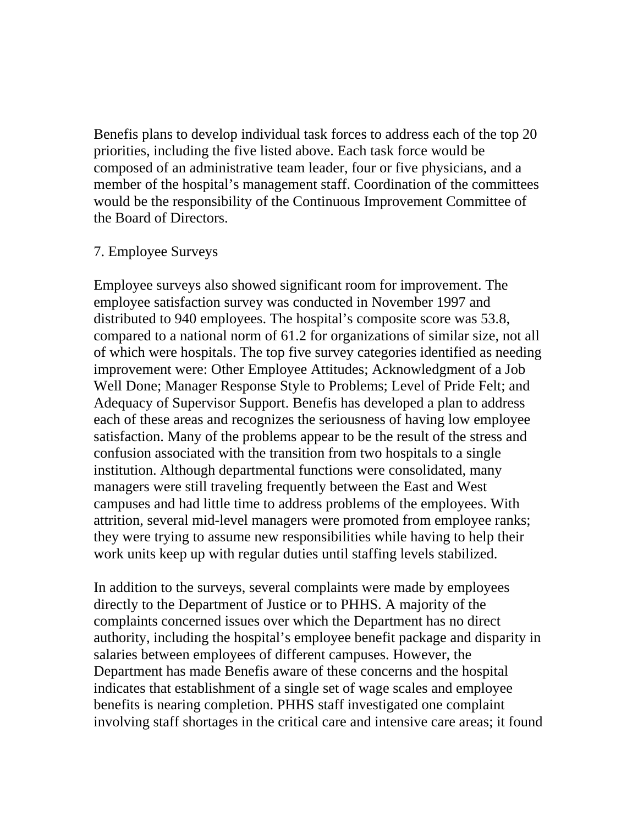Benefis plans to develop individual task forces to address each of the top 20 priorities, including the five listed above. Each task force would be composed of an administrative team leader, four or five physicians, and a member of the hospital's management staff. Coordination of the committees would be the responsibility of the Continuous Improvement Committee of the Board of Directors.

#### 7. Employee Surveys

Employee surveys also showed significant room for improvement. The employee satisfaction survey was conducted in November 1997 and distributed to 940 employees. The hospital's composite score was 53.8, compared to a national norm of 61.2 for organizations of similar size, not all of which were hospitals. The top five survey categories identified as needing improvement were: Other Employee Attitudes; Acknowledgment of a Job Well Done; Manager Response Style to Problems; Level of Pride Felt; and Adequacy of Supervisor Support. Benefis has developed a plan to address each of these areas and recognizes the seriousness of having low employee satisfaction. Many of the problems appear to be the result of the stress and confusion associated with the transition from two hospitals to a single institution. Although departmental functions were consolidated, many managers were still traveling frequently between the East and West campuses and had little time to address problems of the employees. With attrition, several mid-level managers were promoted from employee ranks; they were trying to assume new responsibilities while having to help their work units keep up with regular duties until staffing levels stabilized.

In addition to the surveys, several complaints were made by employees directly to the Department of Justice or to PHHS. A majority of the complaints concerned issues over which the Department has no direct authority, including the hospital's employee benefit package and disparity in salaries between employees of different campuses. However, the Department has made Benefis aware of these concerns and the hospital indicates that establishment of a single set of wage scales and employee benefits is nearing completion. PHHS staff investigated one complaint involving staff shortages in the critical care and intensive care areas; it found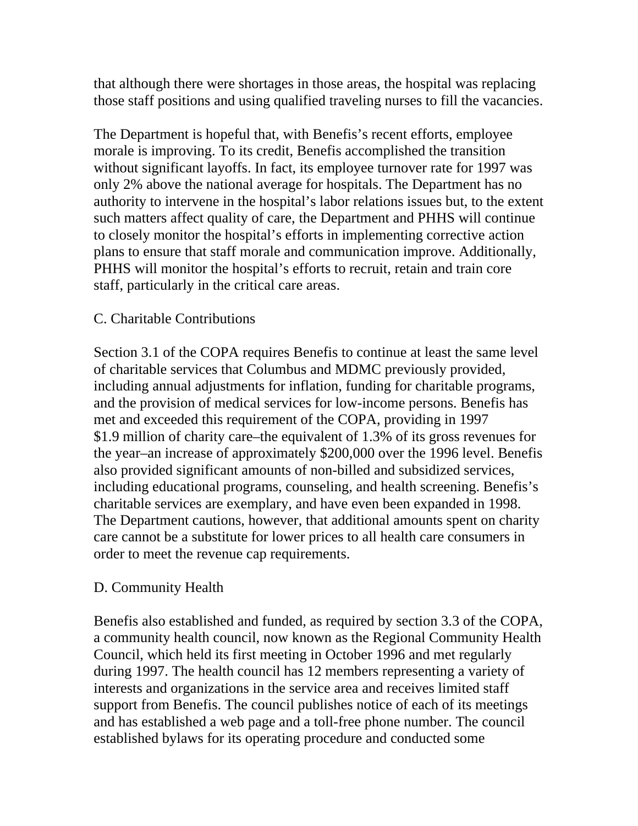that although there were shortages in those areas, the hospital was replacing those staff positions and using qualified traveling nurses to fill the vacancies.

The Department is hopeful that, with Benefis's recent efforts, employee morale is improving. To its credit, Benefis accomplished the transition without significant layoffs. In fact, its employee turnover rate for 1997 was only 2% above the national average for hospitals. The Department has no authority to intervene in the hospital's labor relations issues but, to the extent such matters affect quality of care, the Department and PHHS will continue to closely monitor the hospital's efforts in implementing corrective action plans to ensure that staff morale and communication improve. Additionally, PHHS will monitor the hospital's efforts to recruit, retain and train core staff, particularly in the critical care areas.

### C. Charitable Contributions

Section 3.1 of the COPA requires Benefis to continue at least the same level of charitable services that Columbus and MDMC previously provided, including annual adjustments for inflation, funding for charitable programs, and the provision of medical services for low-income persons. Benefis has met and exceeded this requirement of the COPA, providing in 1997 \$1.9 million of charity care–the equivalent of 1.3% of its gross revenues for the year–an increase of approximately \$200,000 over the 1996 level. Benefis also provided significant amounts of non-billed and subsidized services, including educational programs, counseling, and health screening. Benefis's charitable services are exemplary, and have even been expanded in 1998. The Department cautions, however, that additional amounts spent on charity care cannot be a substitute for lower prices to all health care consumers in order to meet the revenue cap requirements.

### D. Community Health

Benefis also established and funded, as required by section 3.3 of the COPA, a community health council, now known as the Regional Community Health Council, which held its first meeting in October 1996 and met regularly during 1997. The health council has 12 members representing a variety of interests and organizations in the service area and receives limited staff support from Benefis. The council publishes notice of each of its meetings and has established a web page and a toll-free phone number. The council established bylaws for its operating procedure and conducted some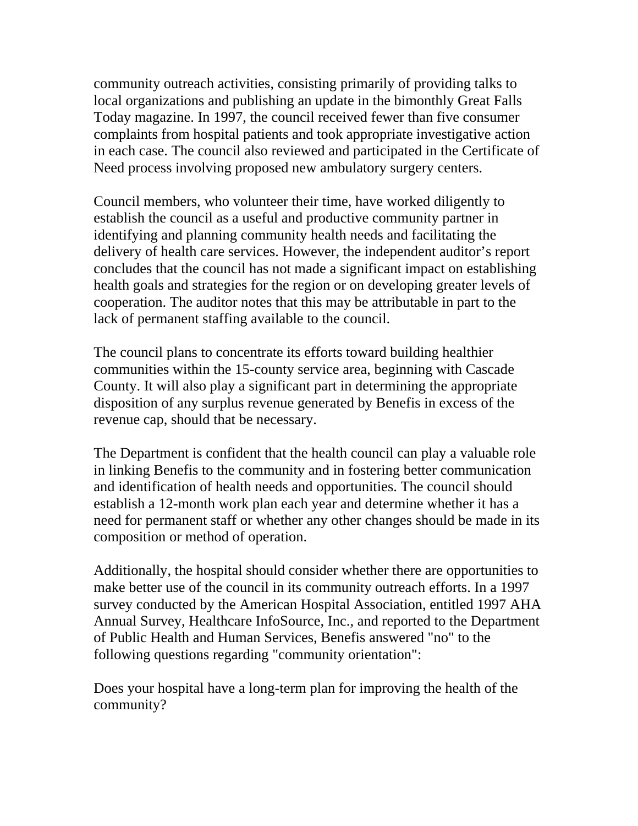community outreach activities, consisting primarily of providing talks to local organizations and publishing an update in the bimonthly Great Falls Today magazine. In 1997, the council received fewer than five consumer complaints from hospital patients and took appropriate investigative action in each case. The council also reviewed and participated in the Certificate of Need process involving proposed new ambulatory surgery centers.

Council members, who volunteer their time, have worked diligently to establish the council as a useful and productive community partner in identifying and planning community health needs and facilitating the delivery of health care services. However, the independent auditor's report concludes that the council has not made a significant impact on establishing health goals and strategies for the region or on developing greater levels of cooperation. The auditor notes that this may be attributable in part to the lack of permanent staffing available to the council.

The council plans to concentrate its efforts toward building healthier communities within the 15-county service area, beginning with Cascade County. It will also play a significant part in determining the appropriate disposition of any surplus revenue generated by Benefis in excess of the revenue cap, should that be necessary.

The Department is confident that the health council can play a valuable role in linking Benefis to the community and in fostering better communication and identification of health needs and opportunities. The council should establish a 12-month work plan each year and determine whether it has a need for permanent staff or whether any other changes should be made in its composition or method of operation.

Additionally, the hospital should consider whether there are opportunities to make better use of the council in its community outreach efforts. In a 1997 survey conducted by the American Hospital Association, entitled 1997 AHA Annual Survey, Healthcare InfoSource, Inc., and reported to the Department of Public Health and Human Services, Benefis answered "no" to the following questions regarding "community orientation":

Does your hospital have a long-term plan for improving the health of the community?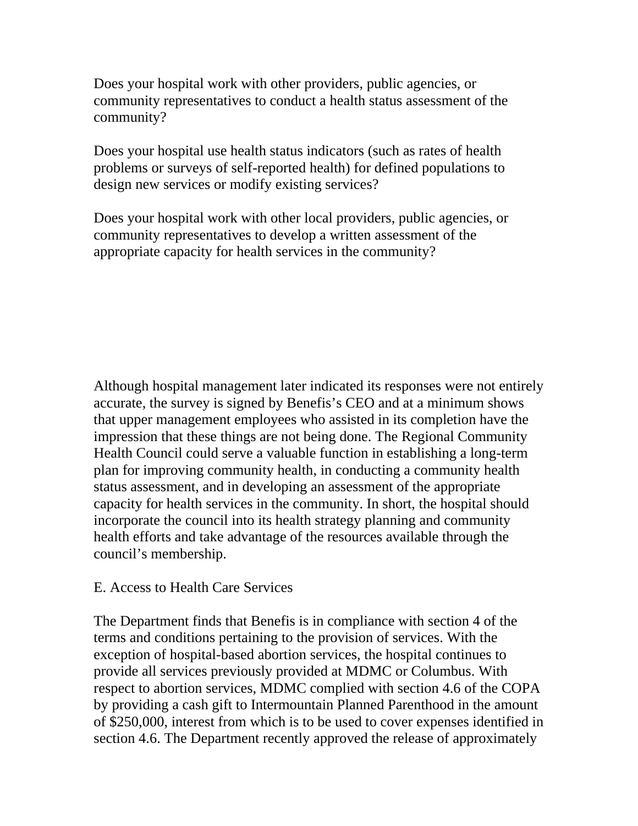Does your hospital work with other providers, public agencies, or community representatives to conduct a health status assessment of the community?

Does your hospital use health status indicators (such as rates of health problems or surveys of self-reported health) for defined populations to design new services or modify existing services?

Does your hospital work with other local providers, public agencies, or community representatives to develop a written assessment of the appropriate capacity for health services in the community?

Although hospital management later indicated its responses were not entirely accurate, the survey is signed by Benefis's CEO and at a minimum shows that upper management employees who assisted in its completion have the impression that these things are not being done. The Regional Community Health Council could serve a valuable function in establishing a long-term plan for improving community health, in conducting a community health status assessment, and in developing an assessment of the appropriate capacity for health services in the community. In short, the hospital should incorporate the council into its health strategy planning and community health efforts and take advantage of the resources available through the council's membership.

### E. Access to Health Care Services

The Department finds that Benefis is in compliance with section 4 of the terms and conditions pertaining to the provision of services. With the exception of hospital-based abortion services, the hospital continues to provide all services previously provided at MDMC or Columbus. With respect to abortion services, MDMC complied with section 4.6 of the COPA by providing a cash gift to Intermountain Planned Parenthood in the amount of \$250,000, interest from which is to be used to cover expenses identified in section 4.6. The Department recently approved the release of approximately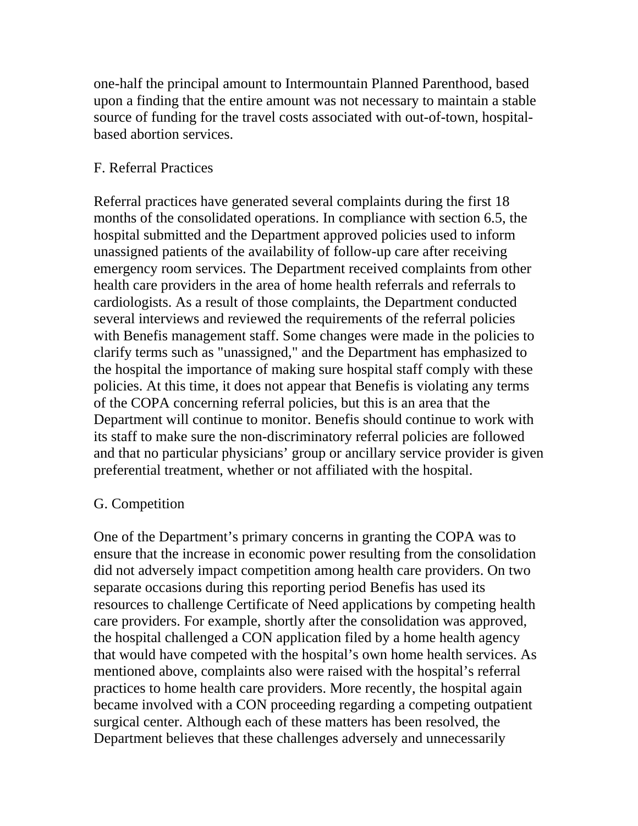one-half the principal amount to Intermountain Planned Parenthood, based upon a finding that the entire amount was not necessary to maintain a stable source of funding for the travel costs associated with out-of-town, hospitalbased abortion services.

## F. Referral Practices

Referral practices have generated several complaints during the first 18 months of the consolidated operations. In compliance with section 6.5, the hospital submitted and the Department approved policies used to inform unassigned patients of the availability of follow-up care after receiving emergency room services. The Department received complaints from other health care providers in the area of home health referrals and referrals to cardiologists. As a result of those complaints, the Department conducted several interviews and reviewed the requirements of the referral policies with Benefis management staff. Some changes were made in the policies to clarify terms such as "unassigned," and the Department has emphasized to the hospital the importance of making sure hospital staff comply with these policies. At this time, it does not appear that Benefis is violating any terms of the COPA concerning referral policies, but this is an area that the Department will continue to monitor. Benefis should continue to work with its staff to make sure the non-discriminatory referral policies are followed and that no particular physicians' group or ancillary service provider is given preferential treatment, whether or not affiliated with the hospital.

### G. Competition

One of the Department's primary concerns in granting the COPA was to ensure that the increase in economic power resulting from the consolidation did not adversely impact competition among health care providers. On two separate occasions during this reporting period Benefis has used its resources to challenge Certificate of Need applications by competing health care providers. For example, shortly after the consolidation was approved, the hospital challenged a CON application filed by a home health agency that would have competed with the hospital's own home health services. As mentioned above, complaints also were raised with the hospital's referral practices to home health care providers. More recently, the hospital again became involved with a CON proceeding regarding a competing outpatient surgical center. Although each of these matters has been resolved, the Department believes that these challenges adversely and unnecessarily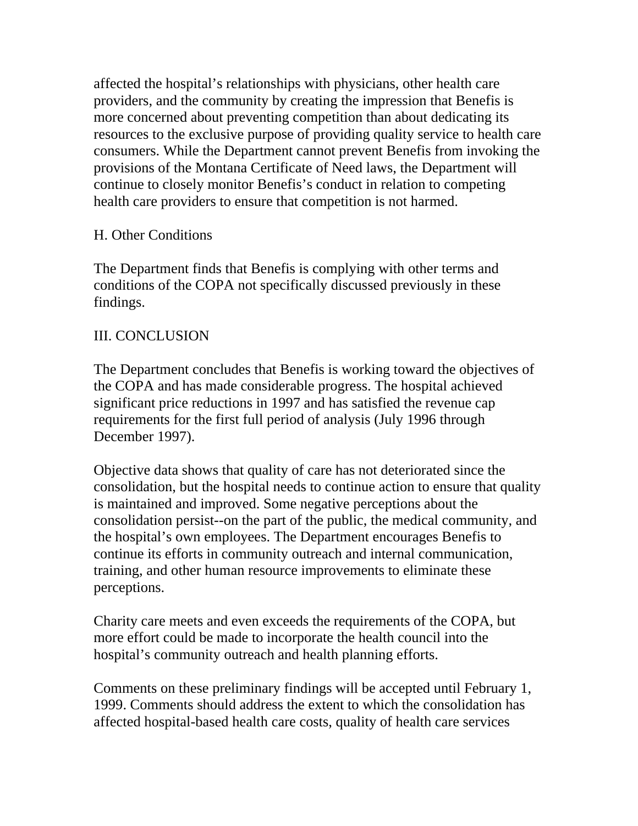affected the hospital's relationships with physicians, other health care providers, and the community by creating the impression that Benefis is more concerned about preventing competition than about dedicating its resources to the exclusive purpose of providing quality service to health care consumers. While the Department cannot prevent Benefis from invoking the provisions of the Montana Certificate of Need laws, the Department will continue to closely monitor Benefis's conduct in relation to competing health care providers to ensure that competition is not harmed.

## H. Other Conditions

The Department finds that Benefis is complying with other terms and conditions of the COPA not specifically discussed previously in these findings.

## III. CONCLUSION

The Department concludes that Benefis is working toward the objectives of the COPA and has made considerable progress. The hospital achieved significant price reductions in 1997 and has satisfied the revenue cap requirements for the first full period of analysis (July 1996 through December 1997).

Objective data shows that quality of care has not deteriorated since the consolidation, but the hospital needs to continue action to ensure that quality is maintained and improved. Some negative perceptions about the consolidation persist--on the part of the public, the medical community, and the hospital's own employees. The Department encourages Benefis to continue its efforts in community outreach and internal communication, training, and other human resource improvements to eliminate these perceptions.

Charity care meets and even exceeds the requirements of the COPA, but more effort could be made to incorporate the health council into the hospital's community outreach and health planning efforts.

Comments on these preliminary findings will be accepted until February 1, 1999. Comments should address the extent to which the consolidation has affected hospital-based health care costs, quality of health care services